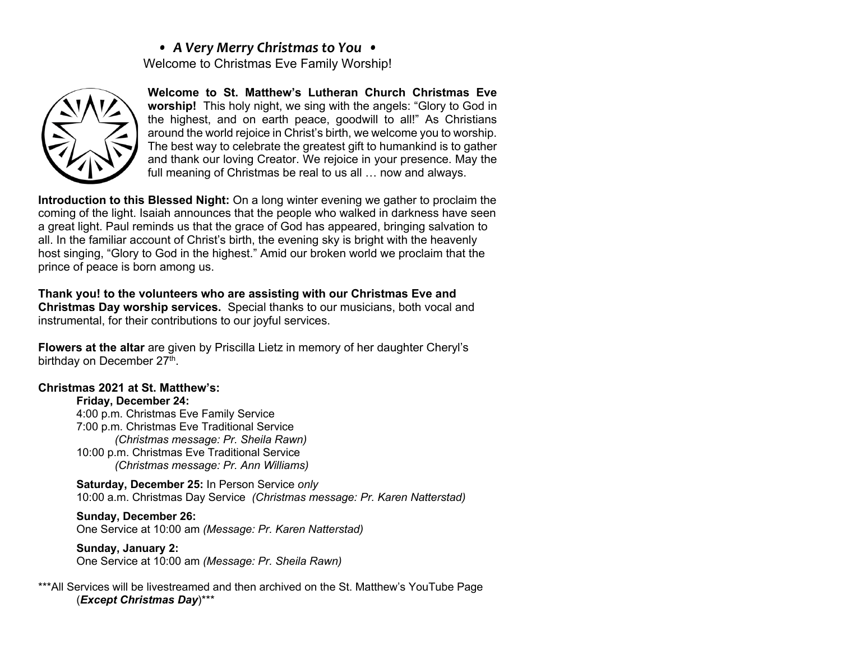# *• A Very Merry Christmas to You •* Welcome to Christmas Eve Family Worship!



**Welcome to St. Matthew's Lutheran Church Christmas Eve worship!** This holy night, we sing with the angels: "Glory to God in the highest, and on earth peace, goodwill to all!" As Christians around the world rejoice in Christ's birth, we welcome you to worship. The best way to celebrate the greatest gift to humankind is to gather and thank our loving Creator. We rejoice in your presence. May the full meaning of Christmas be real to us all … now and always.

**Introduction to this Blessed Night:** On a long winter evening we gather to proclaim the coming of the light. Isaiah announces that the people who walked in darkness have seen a great light. Paul reminds us that the grace of God has appeared, bringing salvation to all. In the familiar account of Christ's birth, the evening sky is bright with the heavenly host singing, "Glory to God in the highest." Amid our broken world we proclaim that the prince of peace is born among us.

**Thank you! to the volunteers who are assisting with our Christmas Eve and Christmas Day worship services.** Special thanks to our musicians, both vocal and instrumental, for their contributions to our joyful services.

**Flowers at the altar** are given by Priscilla Lietz in memory of her daughter Cheryl's birthday on December 27<sup>th</sup>.

# **Christmas 2021 at St. Matthew's:**

## **Friday, December 24:**

4:00 p.m. Christmas Eve Family Service 7:00 p.m. Christmas Eve Traditional Service *(Christmas message: Pr. Sheila Rawn)* 10:00 p.m. Christmas Eve Traditional Service *(Christmas message: Pr. Ann Williams)*

**Saturday, December 25:** In Person Service *only* 10:00 a.m. Christmas Day Service *(Christmas message: Pr. Karen Natterstad)*

**Sunday, December 26:** One Service at 10:00 am *(Message: Pr. Karen Natterstad)*

**Sunday, January 2:** One Service at 10:00 am *(Message: Pr. Sheila Rawn)*

#### \*\*\*All Services will be livestreamed and then archived on the St. Matthew's YouTube Page (*Except Christmas Day*)\*\*\*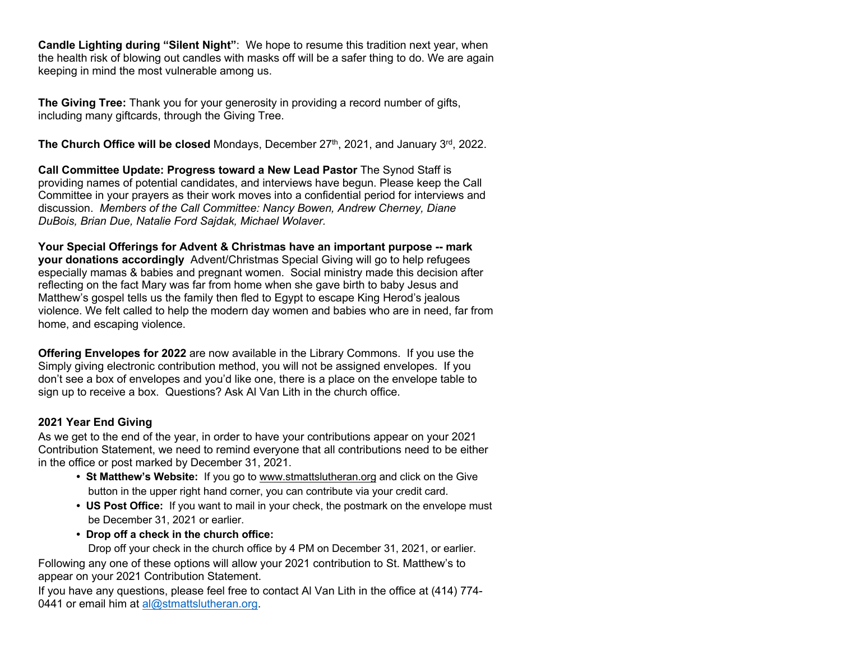**Candle Lighting during "Silent Night"**: We hope to resume this tradition next year, when the health risk of blowing out candles with masks off will be a safer thing to do. We are again keeping in mind the most vulnerable among us.

**The Giving Tree:** Thank you for your generosity in providing a record number of gifts, including many giftcards, through the Giving Tree.

**The Church Office will be closed** Mondays, December 27<sup>th</sup>, 2021, and January 3<sup>rd</sup>, 2022.

**Call Committee Update: Progress toward a New Lead Pastor** The Synod Staff is providing names of potential candidates, and interviews have begun. Please keep the Call Committee in your prayers as their work moves into a confidential period for interviews and discussion. *Members of the Call Committee: Nancy Bowen, Andrew Cherney, Diane DuBois, Brian Due, Natalie Ford Sajdak, Michael Wolaver.*

**Your Special Offerings for Advent & Christmas have an important purpose -- mark your donations accordingly** Advent/Christmas Special Giving will go to help refugees especially mamas & babies and pregnant women. Social ministry made this decision after reflecting on the fact Mary was far from home when she gave birth to baby Jesus and Matthew's gospel tells us the family then fled to Egypt to escape King Herod's jealous violence. We felt called to help the modern day women and babies who are in need, far from home, and escaping violence.

**Offering Envelopes for 2022** are now available in the Library Commons. If you use the Simply giving electronic contribution method, you will not be assigned envelopes. If you don't see a box of envelopes and you'd like one, there is a place on the envelope table to sign up to receive a box. Questions? Ask Al Van Lith in the church office.

## **2021 Year End Giving**

As we get to the end of the year, in order to have your contributions appear on your 2021 Contribution Statement, we need to remind everyone that all contributions need to be either in the office or post marked by December 31, 2021.

- **St Matthew's Website:** If you go to www.stmattslutheran.org and click on the Give button in the upper right hand corner, you can contribute via your credit card.
- **US Post Office:** If you want to mail in your check, the postmark on the envelope must be December 31, 2021 or earlier.
- **Drop off a check in the church office:**

Drop off your check in the church office by 4 PM on December 31, 2021, or earlier.

Following any one of these options will allow your 2021 contribution to St. Matthew's to appear on your 2021 Contribution Statement.

If you have any questions, please feel free to contact Al Van Lith in the office at (414) 774- 0441 or email him at  $al@stmattslutheran.org$ .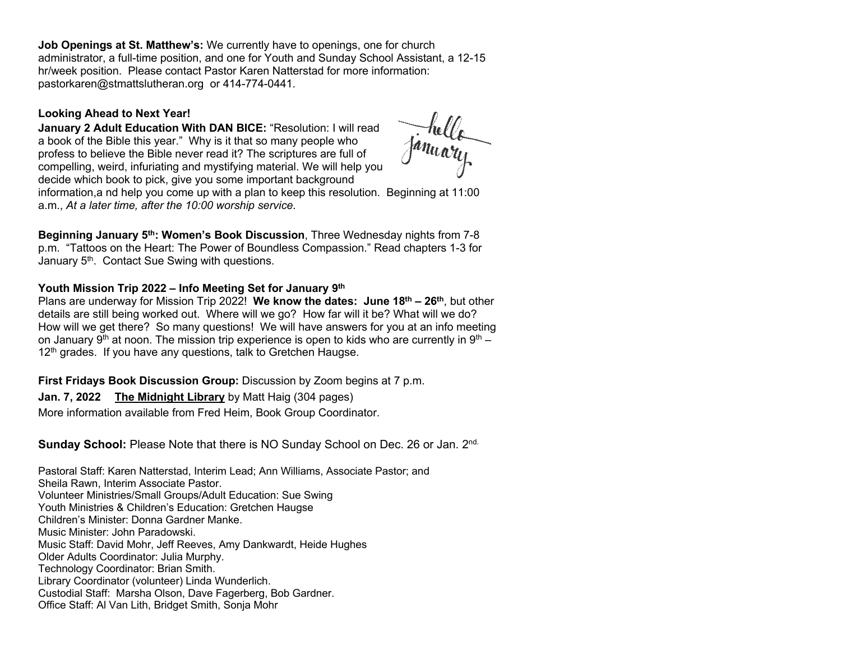**Job Openings at St. Matthew's:** We currently have to openings, one for church administrator, a full-time position, and one for Youth and Sunday School Assistant, a 12-15 hr/week position. Please contact Pastor Karen Natterstad for more information: pastorkaren@stmattslutheran.org or 414-774-0441.

#### **Looking Ahead to Next Year!**

**January 2 Adult Education With DAN BICE:** "Resolution: I will read a book of the Bible this year." Why is it that so many people who profess to believe the Bible never read it? The scriptures are full of compelling, weird, infuriating and mystifying material. We will help you decide which book to pick, give you some important background

January

information,a nd help you come up with a plan to keep this resolution. Beginning at 11:00 a.m., *At a later time, after the 10:00 worship service.*

**Beginning January 5th: Women's Book Discussion**, Three Wednesday nights from 7-8 p.m. "Tattoos on the Heart: The Power of Boundless Compassion." Read chapters 1-3 for January 5<sup>th</sup>. Contact Sue Swing with questions.

#### **Youth Mission Trip 2022 – Info Meeting Set for January 9th**

Plans are underway for Mission Trip 2022! **We know the dates: June 18th – 26th**, but other details are still being worked out. Where will we go? How far will it be? What will we do? How will we get there? So many questions! We will have answers for you at an info meeting on January 9<sup>th</sup> at noon. The mission trip experience is open to kids who are currently in 9<sup>th</sup> – 12<sup>th</sup> grades. If you have any questions, talk to Gretchen Haugse.

**First Fridays Book Discussion Group:** Discussion by Zoom begins at 7 p.m.

## **Jan. 7, 2022 The Midnight Library** by Matt Haig (304 pages)

More information available from Fred Heim, Book Group Coordinator.

# **Sunday School:** Please Note that there is NO Sunday School on Dec. 26 or Jan. 2<sup>nd.</sup>

Pastoral Staff: Karen Natterstad, Interim Lead; Ann Williams, Associate Pastor; and Sheila Rawn, Interim Associate Pastor. Volunteer Ministries/Small Groups/Adult Education: Sue Swing Youth Ministries & Children's Education: Gretchen Haugse Children's Minister: Donna Gardner Manke. Music Minister: John Paradowski. Music Staff: David Mohr, Jeff Reeves, Amy Dankwardt, Heide Hughes Older Adults Coordinator: Julia Murphy. Technology Coordinator: Brian Smith. Library Coordinator (volunteer) Linda Wunderlich. Custodial Staff: Marsha Olson, Dave Fagerberg, Bob Gardner.

Office Staff: Al Van Lith, Bridget Smith, Sonja Mohr